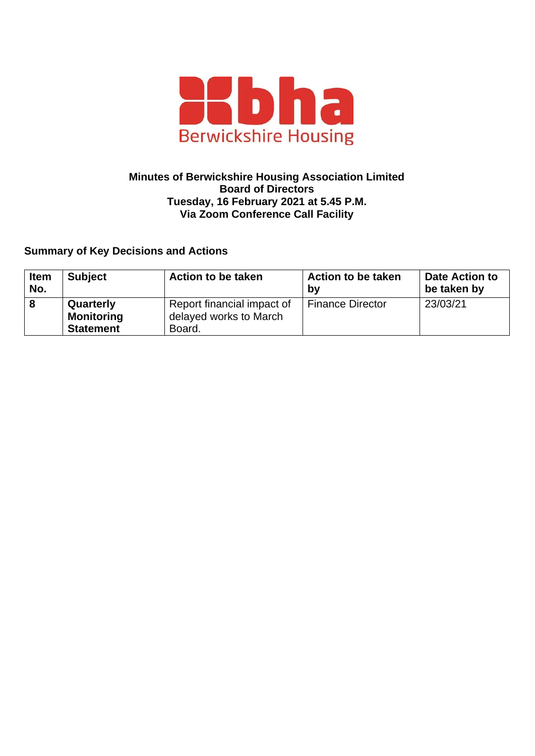

## **Minutes of Berwickshire Housing Association Limited Board of Directors Tuesday, 16 February 2021 at 5.45 P.M. Via Zoom Conference Call Facility**

## **Summary of Key Decisions and Actions**

| <b>Item</b><br>No. | <b>Subject</b>    | <b>Action to be taken</b>  | <b>Action to be taken</b><br>by | Date Action to<br>be taken by |
|--------------------|-------------------|----------------------------|---------------------------------|-------------------------------|
|                    | Quarterly         | Report financial impact of | <b>Finance Director</b>         | 23/03/21                      |
|                    | <b>Monitoring</b> | delayed works to March     |                                 |                               |
|                    | <b>Statement</b>  | Board.                     |                                 |                               |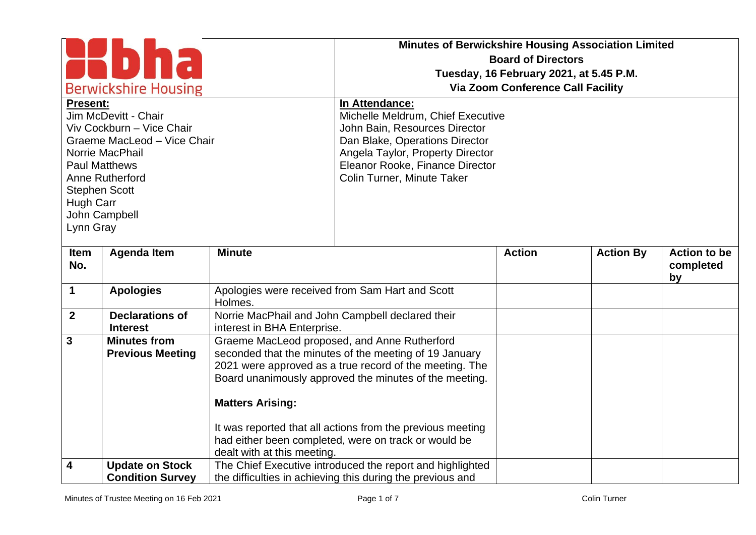| <b>Berwickshire Housing</b><br><b>Present:</b><br>Jim McDevitt - Chair<br>Viv Cockburn - Vice Chair<br>Graeme MacLeod - Vice Chair<br>Norrie MacPhail<br><b>Paul Matthews</b><br>Anne Rutherford<br><b>Stephen Scott</b><br>Hugh Carr<br>John Campbell<br>Lynn Gray |                                                   |                             | <b>Minutes of Berwickshire Housing Association Limited</b><br><b>Board of Directors</b><br>Tuesday, 16 February 2021, at 5.45 P.M.<br><b>Via Zoom Conference Call Facility</b><br>In Attendance:<br>Michelle Meldrum, Chief Executive<br>John Bain, Resources Director<br>Dan Blake, Operations Director<br>Angela Taylor, Property Director<br>Eleanor Rooke, Finance Director<br>Colin Turner, Minute Taker |               |                  |                                        |
|---------------------------------------------------------------------------------------------------------------------------------------------------------------------------------------------------------------------------------------------------------------------|---------------------------------------------------|-----------------------------|---------------------------------------------------------------------------------------------------------------------------------------------------------------------------------------------------------------------------------------------------------------------------------------------------------------------------------------------------------------------------------------------------------------|---------------|------------------|----------------------------------------|
| Item<br>No.                                                                                                                                                                                                                                                         | <b>Agenda Item</b>                                | <b>Minute</b>               |                                                                                                                                                                                                                                                                                                                                                                                                               | <b>Action</b> | <b>Action By</b> | <b>Action to be</b><br>completed<br>by |
| $\mathbf 1$                                                                                                                                                                                                                                                         | <b>Apologies</b>                                  | Holmes.                     | Apologies were received from Sam Hart and Scott                                                                                                                                                                                                                                                                                                                                                               |               |                  |                                        |
| $\overline{2}$                                                                                                                                                                                                                                                      | <b>Declarations of</b><br><b>Interest</b>         | interest in BHA Enterprise. | Norrie MacPhail and John Campbell declared their                                                                                                                                                                                                                                                                                                                                                              |               |                  |                                        |
| $\mathbf{3}$                                                                                                                                                                                                                                                        | <b>Minutes from</b><br><b>Previous Meeting</b>    | <b>Matters Arising:</b>     | Graeme MacLeod proposed, and Anne Rutherford<br>seconded that the minutes of the meeting of 19 January<br>2021 were approved as a true record of the meeting. The<br>Board unanimously approved the minutes of the meeting.                                                                                                                                                                                   |               |                  |                                        |
|                                                                                                                                                                                                                                                                     |                                                   | dealt with at this meeting. | It was reported that all actions from the previous meeting<br>had either been completed, were on track or would be                                                                                                                                                                                                                                                                                            |               |                  |                                        |
| 4                                                                                                                                                                                                                                                                   | <b>Update on Stock</b><br><b>Condition Survey</b> |                             | The Chief Executive introduced the report and highlighted<br>the difficulties in achieving this during the previous and                                                                                                                                                                                                                                                                                       |               |                  |                                        |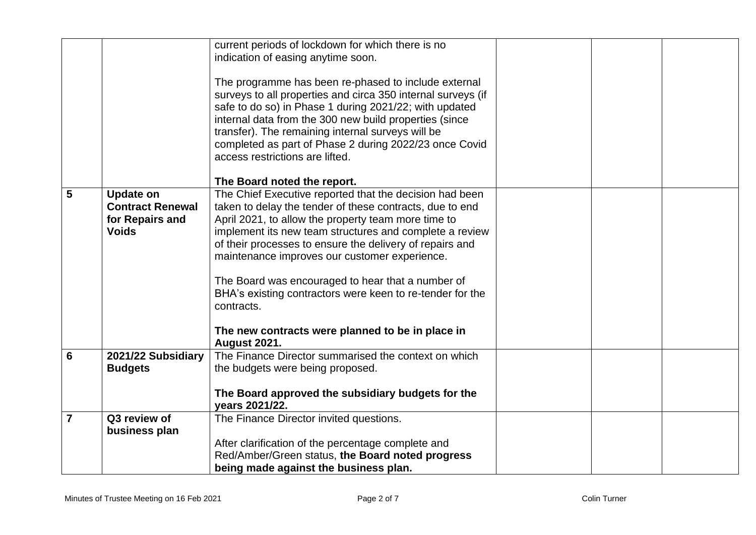|                |                                 | current periods of lockdown for which there is no                                                                   |  |  |
|----------------|---------------------------------|---------------------------------------------------------------------------------------------------------------------|--|--|
|                |                                 | indication of easing anytime soon.                                                                                  |  |  |
|                |                                 |                                                                                                                     |  |  |
|                |                                 | The programme has been re-phased to include external                                                                |  |  |
|                |                                 | surveys to all properties and circa 350 internal surveys (if                                                        |  |  |
|                |                                 | safe to do so) in Phase 1 during 2021/22; with updated                                                              |  |  |
|                |                                 | internal data from the 300 new build properties (since                                                              |  |  |
|                |                                 | transfer). The remaining internal surveys will be                                                                   |  |  |
|                |                                 | completed as part of Phase 2 during 2022/23 once Covid                                                              |  |  |
|                |                                 | access restrictions are lifted.                                                                                     |  |  |
|                |                                 |                                                                                                                     |  |  |
| 5              |                                 | The Board noted the report.                                                                                         |  |  |
|                | <b>Update on</b>                | The Chief Executive reported that the decision had been                                                             |  |  |
|                | <b>Contract Renewal</b>         | taken to delay the tender of these contracts, due to end                                                            |  |  |
|                | for Repairs and<br><b>Voids</b> | April 2021, to allow the property team more time to                                                                 |  |  |
|                |                                 | implement its new team structures and complete a review<br>of their processes to ensure the delivery of repairs and |  |  |
|                |                                 | maintenance improves our customer experience.                                                                       |  |  |
|                |                                 |                                                                                                                     |  |  |
|                |                                 | The Board was encouraged to hear that a number of                                                                   |  |  |
|                |                                 | BHA's existing contractors were keen to re-tender for the                                                           |  |  |
|                |                                 | contracts.                                                                                                          |  |  |
|                |                                 |                                                                                                                     |  |  |
|                |                                 | The new contracts were planned to be in place in                                                                    |  |  |
|                |                                 | <b>August 2021.</b>                                                                                                 |  |  |
| 6              | 2021/22 Subsidiary              | The Finance Director summarised the context on which                                                                |  |  |
|                | <b>Budgets</b>                  | the budgets were being proposed.                                                                                    |  |  |
|                |                                 |                                                                                                                     |  |  |
|                |                                 | The Board approved the subsidiary budgets for the                                                                   |  |  |
|                |                                 | vears 2021/22.                                                                                                      |  |  |
| $\overline{7}$ | Q3 review of                    | The Finance Director invited questions.                                                                             |  |  |
|                | business plan                   |                                                                                                                     |  |  |
|                |                                 | After clarification of the percentage complete and                                                                  |  |  |
|                |                                 | Red/Amber/Green status, the Board noted progress                                                                    |  |  |
|                |                                 | being made against the business plan.                                                                               |  |  |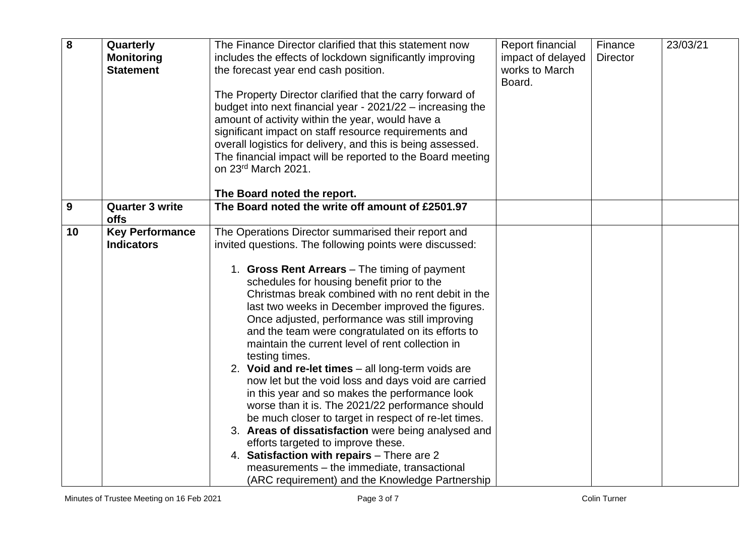| 8  | Quarterly<br><b>Monitoring</b><br><b>Statement</b> | The Finance Director clarified that this statement now<br>includes the effects of lockdown significantly improving<br>the forecast year end cash position.<br>The Property Director clarified that the carry forward of<br>budget into next financial year - 2021/22 - increasing the                                                                                                                                                                                                                                                                                                                                                                                                                                                                                                                                                                                                                      | Report financial<br>impact of delayed<br>works to March<br>Board. | Finance<br><b>Director</b> | 23/03/21 |
|----|----------------------------------------------------|------------------------------------------------------------------------------------------------------------------------------------------------------------------------------------------------------------------------------------------------------------------------------------------------------------------------------------------------------------------------------------------------------------------------------------------------------------------------------------------------------------------------------------------------------------------------------------------------------------------------------------------------------------------------------------------------------------------------------------------------------------------------------------------------------------------------------------------------------------------------------------------------------------|-------------------------------------------------------------------|----------------------------|----------|
|    |                                                    | amount of activity within the year, would have a<br>significant impact on staff resource requirements and<br>overall logistics for delivery, and this is being assessed.<br>The financial impact will be reported to the Board meeting<br>on 23rd March 2021.                                                                                                                                                                                                                                                                                                                                                                                                                                                                                                                                                                                                                                              |                                                                   |                            |          |
| 9  | <b>Quarter 3 write</b>                             | The Board noted the report.<br>The Board noted the write off amount of £2501.97                                                                                                                                                                                                                                                                                                                                                                                                                                                                                                                                                                                                                                                                                                                                                                                                                            |                                                                   |                            |          |
|    | <b>offs</b>                                        |                                                                                                                                                                                                                                                                                                                                                                                                                                                                                                                                                                                                                                                                                                                                                                                                                                                                                                            |                                                                   |                            |          |
| 10 | <b>Key Performance</b>                             | The Operations Director summarised their report and                                                                                                                                                                                                                                                                                                                                                                                                                                                                                                                                                                                                                                                                                                                                                                                                                                                        |                                                                   |                            |          |
|    | <b>Indicators</b>                                  | invited questions. The following points were discussed:                                                                                                                                                                                                                                                                                                                                                                                                                                                                                                                                                                                                                                                                                                                                                                                                                                                    |                                                                   |                            |          |
|    |                                                    | 1. Gross Rent Arrears - The timing of payment<br>schedules for housing benefit prior to the<br>Christmas break combined with no rent debit in the<br>last two weeks in December improved the figures.<br>Once adjusted, performance was still improving<br>and the team were congratulated on its efforts to<br>maintain the current level of rent collection in<br>testing times.<br>2. Void and re-let times - all long-term voids are<br>now let but the void loss and days void are carried<br>in this year and so makes the performance look<br>worse than it is. The 2021/22 performance should<br>be much closer to target in respect of re-let times.<br>3. Areas of dissatisfaction were being analysed and<br>efforts targeted to improve these.<br>4. Satisfaction with repairs - There are 2<br>measurements - the immediate, transactional<br>(ARC requirement) and the Knowledge Partnership |                                                                   |                            |          |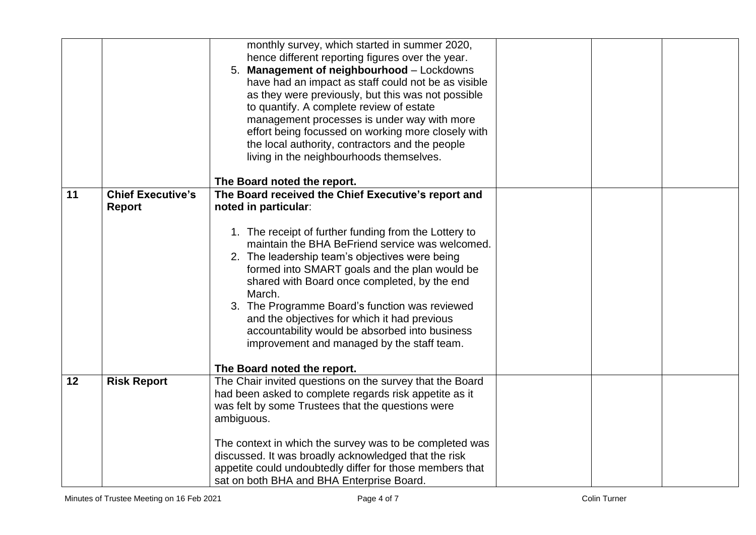|    |                          | monthly survey, which started in summer 2020,<br>hence different reporting figures over the year.<br>Management of neighbourhood - Lockdowns<br>5.<br>have had an impact as staff could not be as visible<br>as they were previously, but this was not possible<br>to quantify. A complete review of estate<br>management processes is under way with more<br>effort being focussed on working more closely with |  |  |
|----|--------------------------|------------------------------------------------------------------------------------------------------------------------------------------------------------------------------------------------------------------------------------------------------------------------------------------------------------------------------------------------------------------------------------------------------------------|--|--|
|    |                          | the local authority, contractors and the people                                                                                                                                                                                                                                                                                                                                                                  |  |  |
|    |                          | living in the neighbourhoods themselves.                                                                                                                                                                                                                                                                                                                                                                         |  |  |
|    |                          | The Board noted the report.                                                                                                                                                                                                                                                                                                                                                                                      |  |  |
| 11 | <b>Chief Executive's</b> | The Board received the Chief Executive's report and                                                                                                                                                                                                                                                                                                                                                              |  |  |
|    | <b>Report</b>            | noted in particular:                                                                                                                                                                                                                                                                                                                                                                                             |  |  |
|    |                          |                                                                                                                                                                                                                                                                                                                                                                                                                  |  |  |
|    |                          | 1. The receipt of further funding from the Lottery to                                                                                                                                                                                                                                                                                                                                                            |  |  |
|    |                          | maintain the BHA BeFriend service was welcomed.                                                                                                                                                                                                                                                                                                                                                                  |  |  |
|    |                          | 2. The leadership team's objectives were being                                                                                                                                                                                                                                                                                                                                                                   |  |  |
|    |                          | formed into SMART goals and the plan would be                                                                                                                                                                                                                                                                                                                                                                    |  |  |
|    |                          | shared with Board once completed, by the end                                                                                                                                                                                                                                                                                                                                                                     |  |  |
|    |                          | March.                                                                                                                                                                                                                                                                                                                                                                                                           |  |  |
|    |                          | 3. The Programme Board's function was reviewed                                                                                                                                                                                                                                                                                                                                                                   |  |  |
|    |                          | and the objectives for which it had previous                                                                                                                                                                                                                                                                                                                                                                     |  |  |
|    |                          | accountability would be absorbed into business                                                                                                                                                                                                                                                                                                                                                                   |  |  |
|    |                          | improvement and managed by the staff team.                                                                                                                                                                                                                                                                                                                                                                       |  |  |
|    |                          | The Board noted the report.                                                                                                                                                                                                                                                                                                                                                                                      |  |  |
| 12 | <b>Risk Report</b>       | The Chair invited questions on the survey that the Board                                                                                                                                                                                                                                                                                                                                                         |  |  |
|    |                          | had been asked to complete regards risk appetite as it                                                                                                                                                                                                                                                                                                                                                           |  |  |
|    |                          | was felt by some Trustees that the questions were                                                                                                                                                                                                                                                                                                                                                                |  |  |
|    |                          | ambiguous.                                                                                                                                                                                                                                                                                                                                                                                                       |  |  |
|    |                          |                                                                                                                                                                                                                                                                                                                                                                                                                  |  |  |
|    |                          | The context in which the survey was to be completed was                                                                                                                                                                                                                                                                                                                                                          |  |  |
|    |                          | discussed. It was broadly acknowledged that the risk                                                                                                                                                                                                                                                                                                                                                             |  |  |
|    |                          | appetite could undoubtedly differ for those members that                                                                                                                                                                                                                                                                                                                                                         |  |  |
|    |                          | sat on both BHA and BHA Enterprise Board.                                                                                                                                                                                                                                                                                                                                                                        |  |  |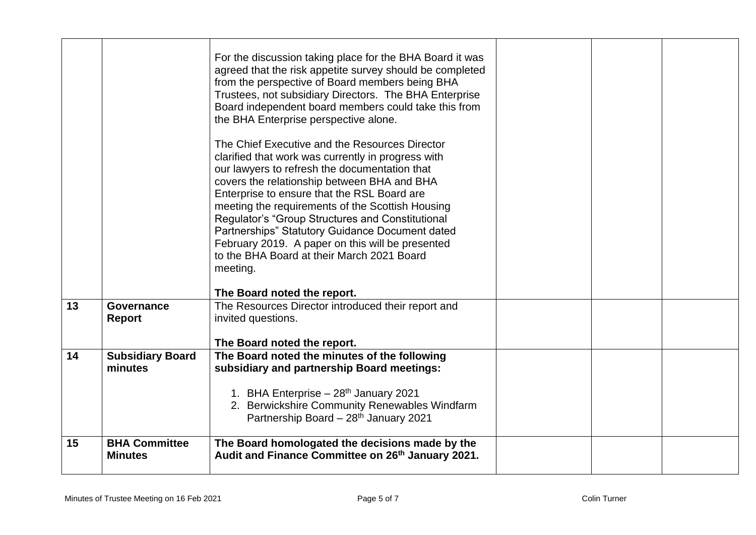|    |                                        | For the discussion taking place for the BHA Board it was<br>agreed that the risk appetite survey should be completed<br>from the perspective of Board members being BHA<br>Trustees, not subsidiary Directors. The BHA Enterprise<br>Board independent board members could take this from<br>the BHA Enterprise perspective alone.<br>The Chief Executive and the Resources Director<br>clarified that work was currently in progress with<br>our lawyers to refresh the documentation that<br>covers the relationship between BHA and BHA<br>Enterprise to ensure that the RSL Board are<br>meeting the requirements of the Scottish Housing<br>Regulator's "Group Structures and Constitutional<br>Partnerships" Statutory Guidance Document dated<br>February 2019. A paper on this will be presented<br>to the BHA Board at their March 2021 Board<br>meeting.<br>The Board noted the report. |  |  |
|----|----------------------------------------|---------------------------------------------------------------------------------------------------------------------------------------------------------------------------------------------------------------------------------------------------------------------------------------------------------------------------------------------------------------------------------------------------------------------------------------------------------------------------------------------------------------------------------------------------------------------------------------------------------------------------------------------------------------------------------------------------------------------------------------------------------------------------------------------------------------------------------------------------------------------------------------------------|--|--|
| 13 | <b>Governance</b>                      | The Resources Director introduced their report and                                                                                                                                                                                                                                                                                                                                                                                                                                                                                                                                                                                                                                                                                                                                                                                                                                                |  |  |
|    | <b>Report</b>                          | invited questions.                                                                                                                                                                                                                                                                                                                                                                                                                                                                                                                                                                                                                                                                                                                                                                                                                                                                                |  |  |
|    |                                        | The Board noted the report.                                                                                                                                                                                                                                                                                                                                                                                                                                                                                                                                                                                                                                                                                                                                                                                                                                                                       |  |  |
| 14 | <b>Subsidiary Board</b><br>minutes     | The Board noted the minutes of the following                                                                                                                                                                                                                                                                                                                                                                                                                                                                                                                                                                                                                                                                                                                                                                                                                                                      |  |  |
|    |                                        | subsidiary and partnership Board meetings:                                                                                                                                                                                                                                                                                                                                                                                                                                                                                                                                                                                                                                                                                                                                                                                                                                                        |  |  |
|    |                                        | 1. BHA Enterprise - 28 <sup>th</sup> January 2021                                                                                                                                                                                                                                                                                                                                                                                                                                                                                                                                                                                                                                                                                                                                                                                                                                                 |  |  |
|    |                                        | 2. Berwickshire Community Renewables Windfarm<br>Partnership Board - 28 <sup>th</sup> January 2021                                                                                                                                                                                                                                                                                                                                                                                                                                                                                                                                                                                                                                                                                                                                                                                                |  |  |
| 15 | <b>BHA Committee</b><br><b>Minutes</b> | The Board homologated the decisions made by the<br>Audit and Finance Committee on 26th January 2021.                                                                                                                                                                                                                                                                                                                                                                                                                                                                                                                                                                                                                                                                                                                                                                                              |  |  |